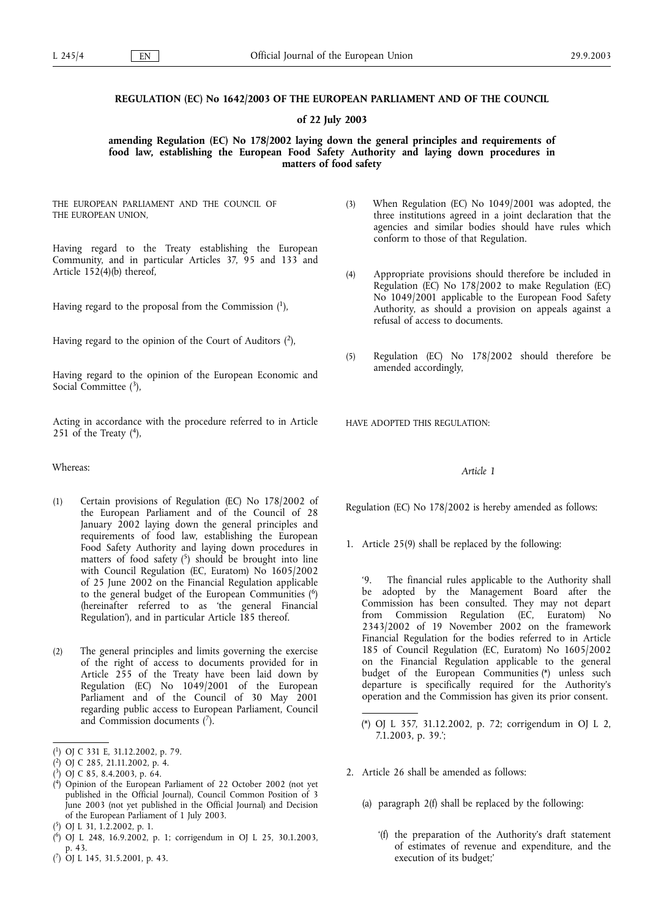# **REGULATION (EC) No 1642/2003 OF THE EUROPEAN PARLIAMENT AND OF THE COUNCIL**

## **of 22 July 2003**

**amending Regulation (EC) No 178/2002 laying down the general principles and requirements of food law, establishing the European Food Safety Authority and laying down procedures in matters of food safety**

THE EUROPEAN PARLIAMENT AND THE COUNCIL OF THE EUROPEAN UNION,

Having regard to the Treaty establishing the European Community, and in particular Articles 37, 95 and 133 and Article 152(4)(b) thereof,

Having regard to the proposal from the Commission  $(1)$ ,

Having regard to the opinion of the Court of Auditors  $(2)$ ,

Having regard to the opinion of the European Economic and Social Committee  $(3)$ ,

Acting in accordance with the procedure referred to in Article 251 of the Treaty  $(4)$ ,

#### Whereas:

- (1) Certain provisions of Regulation (EC) No 178/2002 of the European Parliament and of the Council of 28 January 2002 laying down the general principles and requirements of food law, establishing the European Food Safety Authority and laying down procedures in matters of food safety  $(5)$  should be brought into line with Council Regulation (EC, Euratom) No 1605/2002 of 25 June 2002 on the Financial Regulation applicable to the general budget of the European Communities (6) (hereinafter referred to as 'the general Financial Regulation'), and in particular Article 185 thereof.
- (2) The general principles and limits governing the exercise of the right of access to documents provided for in Article 255 of the Treaty have been laid down by Regulation (EC) No 1049/2001 of the European Parliament and of the Council of 30 May 2001 regarding public access to European Parliament, Council and Commission documents  $(7)$ .
- ( 1) OJ C 331 E, 31.12.2002, p. 79.
- ( 2) OJ C 285, 21.11.2002, p. 4.
- ( 3) OJ C 85, 8.4.2003, p. 64.
- ( 4) Opinion of the European Parliament of 22 October 2002 (not yet published in the Official Journal), Council Common Position of 3 June 2003 (not yet published in the Official Journal) and Decision of the European Parliament of 1 July 2003.
- ( 5) OJ L 31, 1.2.2002, p. 1.
- ( 6) OJ L 248, 16.9.2002, p. 1; corrigendum in OJ L 25, 30.1.2003, p. 43.
- ( 7) OJ L 145, 31.5.2001, p. 43.
- (3) When Regulation (EC) No 1049/2001 was adopted, the three institutions agreed in a joint declaration that the agencies and similar bodies should have rules which conform to those of that Regulation.
- (4) Appropriate provisions should therefore be included in Regulation (EC) No 178/2002 to make Regulation (EC) No 1049/2001 applicable to the European Food Safety Authority, as should a provision on appeals against a refusal of access to documents.
- (5) Regulation (EC) No 178/2002 should therefore be amended accordingly,

HAVE ADOPTED THIS REGULATION:

### *Article 1*

Regulation (EC) No 178/2002 is hereby amended as follows:

1. Article 25(9) shall be replaced by the following:

'9. The financial rules applicable to the Authority shall be adopted by the Management Board after the Commission has been consulted. They may not depart<br>from Commission Regulation (EC, Euratom) No from Commission Regulation (EC, Euratom) No 2343/2002 of 19 November 2002 on the framework Financial Regulation for the bodies referred to in Article 185 of Council Regulation (EC, Euratom) No 1605/2002 on the Financial Regulation applicable to the general budget of the European Communities (\*) unless such departure is specifically required for the Authority's operation and the Commission has given its prior consent.

- 2. Article 26 shall be amended as follows:
	- (a) paragraph 2(f) shall be replaced by the following:
		- '(f) the preparation of the Authority's draft statement of estimates of revenue and expenditure, and the execution of its budget;'

<sup>(\*)</sup> OJ L 357, 31.12.2002, p. 72; corrigendum in OJ L 2, 7.1.2003, p. 39.';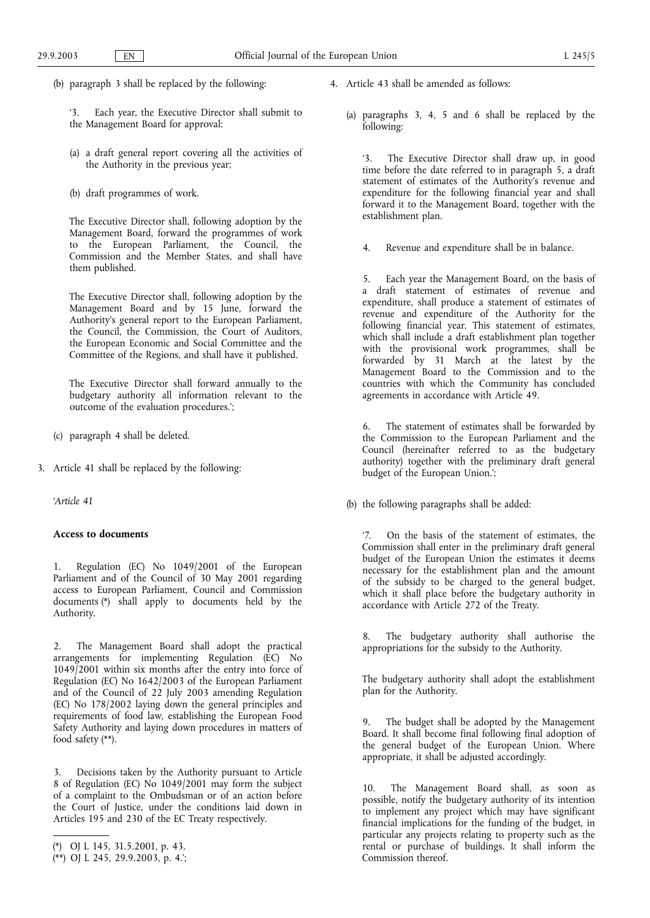(b) paragraph 3 shall be replaced by the following:

'3. Each year, the Executive Director shall submit to the Management Board for approval:

- (a) a draft general report covering all the activities of the Authority in the previous year;
- (b) draft programmes of work.

The Executive Director shall, following adoption by the Management Board, forward the programmes of work to the European Parliament, the Council, the Commission and the Member States, and shall have them published.

The Executive Director shall, following adoption by the Management Board and by 15 June, forward the Authority's general report to the European Parliament, the Council, the Commission, the Court of Auditors, the European Economic and Social Committee and the Committee of the Regions, and shall have it published.

The Executive Director shall forward annually to the budgetary authority all information relevant to the outcome of the evaluation procedures.';

- (c) paragraph 4 shall be deleted.
- 3. Article 41 shall be replaced by the following:

'*Article 41*

#### **Access to documents**

1. Regulation (EC) No 1049/2001 of the European Parliament and of the Council of 30 May 2001 regarding access to European Parliament, Council and Commission documents (\*) shall apply to documents held by the Authority.

2. The Management Board shall adopt the practical arrangements for implementing Regulation (EC) No 1049/2001 within six months after the entry into force of Regulation (EC) No 1642/2003 of the European Parliament and of the Council of 22 July 2003 amending Regulation (EC) No 178/2002 laying down the general principles and requirements of food law, establishing the European Food Safety Authority and laying down procedures in matters of food safety (\*\*).

3. Decisions taken by the Authority pursuant to Article 8 of Regulation (EC) No 1049/2001 may form the subject of a complaint to the Ombudsman or of an action before the Court of Justice, under the conditions laid down in Articles 195 and 230 of the EC Treaty respectively.

- 4. Article 43 shall be amended as follows:
	- (a) paragraphs 3, 4, 5 and 6 shall be replaced by the following:

'3. The Executive Director shall draw up, in good time before the date referred to in paragraph 5, a draft statement of estimates of the Authority's revenue and expenditure for the following financial year and shall forward it to the Management Board, together with the establishment plan.

4. Revenue and expenditure shall be in balance.

5. Each year the Management Board, on the basis of a draft statement of estimates of revenue and expenditure, shall produce a statement of estimates of revenue and expenditure of the Authority for the following financial year. This statement of estimates, which shall include a draft establishment plan together with the provisional work programmes, shall be forwarded by 31 March at the latest by the Management Board to the Commission and to the countries with which the Community has concluded agreements in accordance with Article 49.

6. The statement of estimates shall be forwarded by the Commission to the European Parliament and the Council (hereinafter referred to as the budgetary authority) together with the preliminary draft general budget of the European Union.';

(b) the following paragraphs shall be added:

'7. On the basis of the statement of estimates, the Commission shall enter in the preliminary draft general budget of the European Union the estimates it deems necessary for the establishment plan and the amount of the subsidy to be charged to the general budget, which it shall place before the budgetary authority in accordance with Article 272 of the Treaty.

8. The budgetary authority shall authorise the appropriations for the subsidy to the Authority.

The budgetary authority shall adopt the establishment plan for the Authority.

9. The budget shall be adopted by the Management Board. It shall become final following final adoption of the general budget of the European Union. Where appropriate, it shall be adjusted accordingly.

10. The Management Board shall, as soon as possible, notify the budgetary authority of its intention to implement any project which may have significant financial implications for the funding of the budget, in particular any projects relating to property such as the rental or purchase of buildings. It shall inform the Commission thereof.

<sup>(\*)</sup> OJ L 145, 31.5.2001, p. 43.

<sup>(\*\*)</sup> OJ L 245, 29.9.2003, p. 4.';